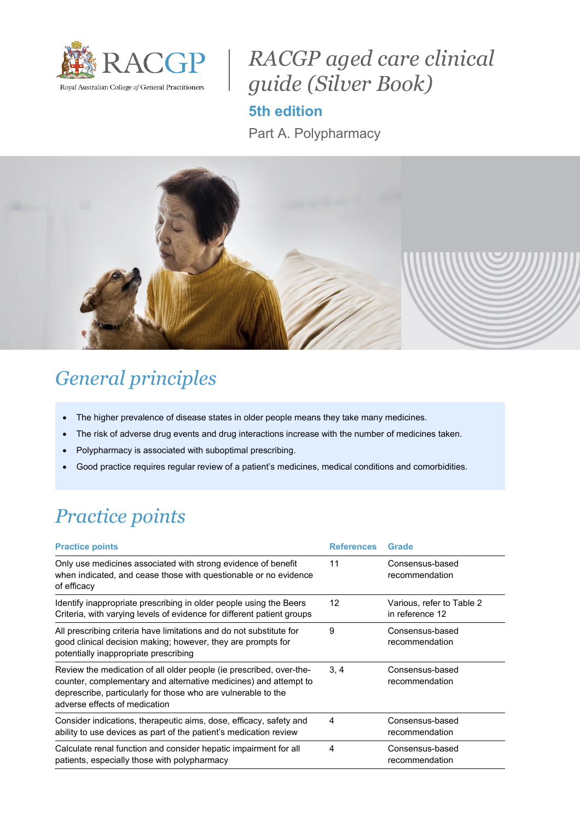

## *RACGP aged care clinical guide (Silver Book)*

**5th edition**

Part A. Polypharmacy



### *General principles*

- The higher prevalence of disease states in older people means they take many medicines.
- The risk of adverse drug events and drug interactions increase with the number of medicines taken.
- Polypharmacy is associated with suboptimal prescribing.
- Good practice requires regular review of a patient's medicines, medical conditions and comorbidities.

# *Practice points*

| <b>Practice points</b>                                                                                                                                                                                                                    | <b>References</b> | Grade                                        |
|-------------------------------------------------------------------------------------------------------------------------------------------------------------------------------------------------------------------------------------------|-------------------|----------------------------------------------|
| Only use medicines associated with strong evidence of benefit<br>when indicated, and cease those with questionable or no evidence<br>of efficacy                                                                                          | 11                | Consensus-based<br>recommendation            |
| Identify inappropriate prescribing in older people using the Beers<br>Criteria, with varying levels of evidence for different patient groups                                                                                              | $12 \overline{ }$ | Various, refer to Table 2<br>in reference 12 |
| All prescribing criteria have limitations and do not substitute for<br>good clinical decision making; however, they are prompts for<br>potentially inappropriate prescribing                                                              | 9                 | Consensus-based<br>recommendation            |
| Review the medication of all older people (ie prescribed, over-the-<br>counter, complementary and alternative medicines) and attempt to<br>deprescribe, particularly for those who are vulnerable to the<br>adverse effects of medication | 3, 4              | Consensus-based<br>recommendation            |
| Consider indications, therapeutic aims, dose, efficacy, safety and<br>ability to use devices as part of the patient's medication review                                                                                                   | 4                 | Consensus-based<br>recommendation            |
| Calculate renal function and consider hepatic impairment for all<br>patients, especially those with polypharmacy                                                                                                                          | 4                 | Consensus-based<br>recommendation            |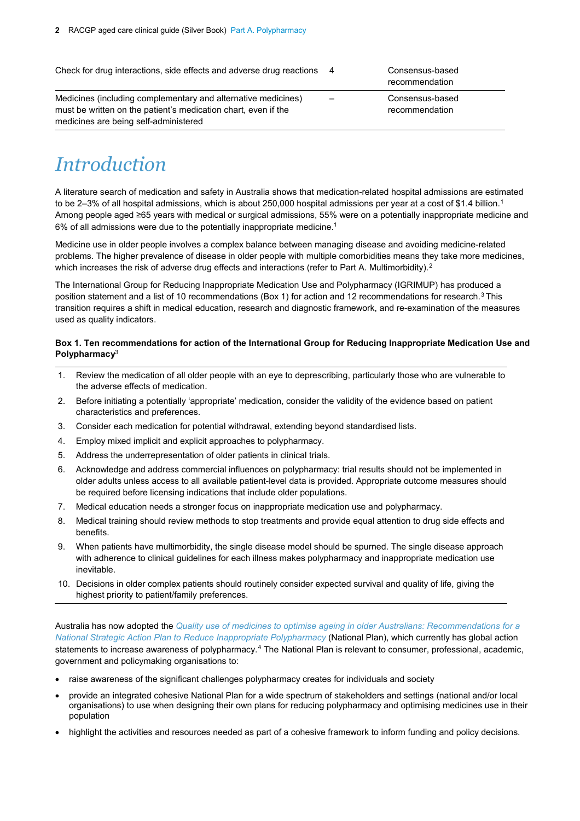Check for drug interactions, side effects and adverse drug reactions 4 Consensus-based

Medicines (including complementary and alternative medicines) must be written on the patient's medication chart, even if the medicines are being self-administered

#### recommendation

<span id="page-1-2"></span><span id="page-1-1"></span><span id="page-1-0"></span>– Consensus-based recommendation

### *Introduction*

A literature search of medication and safety in Australia shows that medication-related hospital admissions are estimated to be 2–3% of all hospital admissions, which is about 250,000 hospital admissions per year at a cost of \$1.4 billion.<sup>1</sup> Among people aged ≥65 years with medical or surgical admissions, 55% were on a potentially inappropriate medicine and 6% of all admissions were due to the potentially inappropriate medicine[.1](#page-1-0)

Medicine use in older people involves a complex balance between managing disease and avoiding medicine-related problems. The higher prevalence of disease in older people with multiple comorbidities means they take more medicines, which increases the risk of adverse drug effects and interactions (refer to Part A. Multimorbidity).<sup>[2](#page-3-1)</sup>

The International Group for Reducing Inappropriate Medication Use and Polypharmacy (IGRIMUP) has produced a position statement and a list of 10 recommendations (Box 1) for action and 12 recommendations for research.<sup>[3](#page-3-2)</sup> This transition requires a shift in medical education, research and diagnostic framework, and re-examination of the measures used as quality indicators.

#### **Box 1. Ten recommendations for action of the International Group for Reducing Inappropriate Medication Use and Polypharmac[y](#page-1-1)**<sup>3</sup>

- 1. Review the medication of all older people with an eye to deprescribing, particularly those who are vulnerable to the adverse effects of medication.
- 2. Before initiating a potentially 'appropriate' medication, consider the validity of the evidence based on patient characteristics and preferences.
- 3. Consider each medication for potential withdrawal, extending beyond standardised lists.
- 4. Employ mixed implicit and explicit approaches to polypharmacy.
- 5. Address the underrepresentation of older patients in clinical trials.
- 6. Acknowledge and address commercial influences on polypharmacy: trial results should not be implemented in older adults unless access to all available patient-level data is provided. Appropriate outcome measures should be required before licensing indications that include older populations.
- 7. Medical education needs a stronger focus on inappropriate medication use and polypharmacy.
- 8. Medical training should review methods to stop treatments and provide equal attention to drug side effects and benefits.
- 9. When patients have multimorbidity, the single disease model should be spurned. The single disease approach with adherence to clinical guidelines for each illness makes polypharmacy and inappropriate medication use inevitable.
- 10. Decisions in older complex patients should routinely consider expected survival and quality of life, giving the highest priority to patient/family preferences.

Australia has now adopted the *[Quality use of medicines to optimise ageing in older Australians: Recommendations for a](https://cdpc.sydney.edu.au/wp-content/uploads/2019/06/quality-use-of-medicines.pdf)  [National Strategic Action Plan to Reduce Inappropriate Polypharmacy](https://cdpc.sydney.edu.au/wp-content/uploads/2019/06/quality-use-of-medicines.pdf)* (National Plan), which currently has global action statements to increase awareness of polypharmacy.[4](#page-3-3) The National Plan is relevant to consumer, professional, academic, government and policymaking organisations to:

- <span id="page-1-3"></span>raise awareness of the significant challenges polypharmacy creates for individuals and society
- provide an integrated cohesive National Plan for a wide spectrum of stakeholders and settings (national and/or local organisations) to use when designing their own plans for reducing polypharmacy and optimising medicines use in their population
- highlight the activities and resources needed as part of a cohesive framework to inform funding and policy decisions.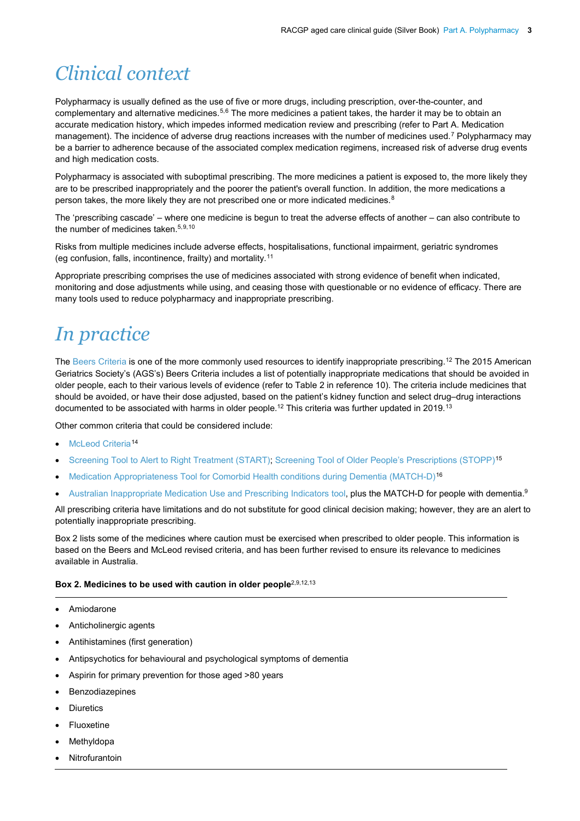## *Clinical context*

<span id="page-2-0"></span>Polypharmacy is usually defined as the use of five or more drugs, including prescription, over-the-counter, and complementary and alternative medicines.<sup>[5](#page-3-4),[6](#page-3-5)</sup> The more medicines a patient takes, the harder it may be to obtain an accurate medication history, which impedes informed medication review and prescribing (refer to Part A. Medication management). The incidence of adverse drug reactions increases with the number of medicines used.<sup>[7](#page-4-0)</sup> Polypharmacy may be a barrier to adherence because of the associated complex medication regimens, increased risk of adverse drug events and high medication costs.

Polypharmacy is associated with suboptimal prescribing. The more medicines a patient is exposed to, the more likely they are to be prescribed inappropriately and the poorer the patient's overall function. In addition, the more medications a person takes, the more likely they are not prescribed one or more indicated medicines.<sup>[8](#page-4-1)</sup>

<span id="page-2-2"></span>The 'prescribing cascade' – where one medicine is begun to treat the adverse effects of another – can also contribute to the number of medicines taken.<sup>5,[9](#page-4-2),[10](#page-4-3)</sup>

Risks from multiple medicines include adverse effects, hospitalisations, functional impairment, geriatric syndromes (eg confusion, falls, incontinence, frailty) and mortality.[11](#page-4-4)

Appropriate prescribing comprises the use of medicines associated with strong evidence of benefit when indicated, monitoring and dose adjustments while using, and ceasing those with questionable or no evidence of efficacy. There are many tools used to reduce polypharmacy and inappropriate prescribing.

### *In practice*

<span id="page-2-1"></span>Th[e Beers Criteria](https://onlinelibrary.wiley.com/doi/epdf/10.1111/jgs.15767?referrer_access_token=ZVSv-QOTRA5dIfiN9jikS4ta6bR2k8jH0KrdpFOxC65t_FokpdxHvL7WaxkN527h7l3s9xxEMlD4211T518cxliTQ0jUZJvkCe39nbq3eDhQWopbDFzcvt3mr4h2_zLJox3rbsTd5BUk0VFMNSkiuw%3D%3D) is one of the more commonly used resources to identify inappropriate prescribing.<sup>[12](#page-4-5)</sup> The 2015 American Geriatrics Society's (AGS's) Beers Criteria includes a list of potentially inappropriate medications that should be avoided in older people, each to their various levels of evidence (refer to Table 2 in reference 10). The criteria include medicines that should be avoided, or have their dose adjusted, based on the patient's kidney function and select drug–drug interactions documented to be associated with harms in older people.<sup>12</sup> This criteria was further updated in 2019.<sup>[13](#page-4-6)</sup>

<span id="page-2-3"></span>Other common criteria that could be considered include:

- [McLeod Criteria](https://pdfs.semanticscholar.org/fe8e/19f09042346f3ca40496dbbf4dca284b7afb.pdf)<sup>[14](#page-4-7)</sup>
- [Screening Tool to Alert to Right Treatment \(START\); Screening Tool of Older People's Prescriptions \(STOPP\)](https://www.dustri.com/article_response_page.html?artId=1674&doi=10.5414/CPP46072&L=0)[15](#page-4-8)
- [Medication Appropriateness Tool for Comorbid Health conditions during Dementia \(MATCH-D\)](https://onlinelibrary.wiley.com/doi/full/10.1111/imj.13215)[16](#page-4-9)
- [Australian Inappropriate Medication Use and Prescribing Indicators tool,](https://link.springer.com/article/10.2165%2F00002512-200825090-00004) **plus the MATCH-D for people with dementia**.<sup>[9](#page-2-2)</sup>

All prescribing criteria have limitations and do not substitute for good clinical decision making; however, they are an alert to potentially inappropriate prescribing.

Box 2 lists some of the medicines where caution must be exercised when prescribed to older people. This information is based on the Beers and McLeod revised criteria, and has been further revised to ensure its relevance to medicines available in Australia.

#### Box 2. Medicines to be used with caution in older people<sup>[2,](#page-1-2)[9,](#page-2-2)[12,](#page-2-1)[13](#page-2-3)</sup>

- Amiodarone
- Anticholinergic agents
- Antihistamines (first generation)
- Antipsychotics for behavioural and psychological symptoms of dementia
- Aspirin for primary prevention for those aged >80 years
- **Benzodiazepines**
- **Diuretics**
- **Fluoxetine**
- **Methyldopa**
- **Nitrofurantoin**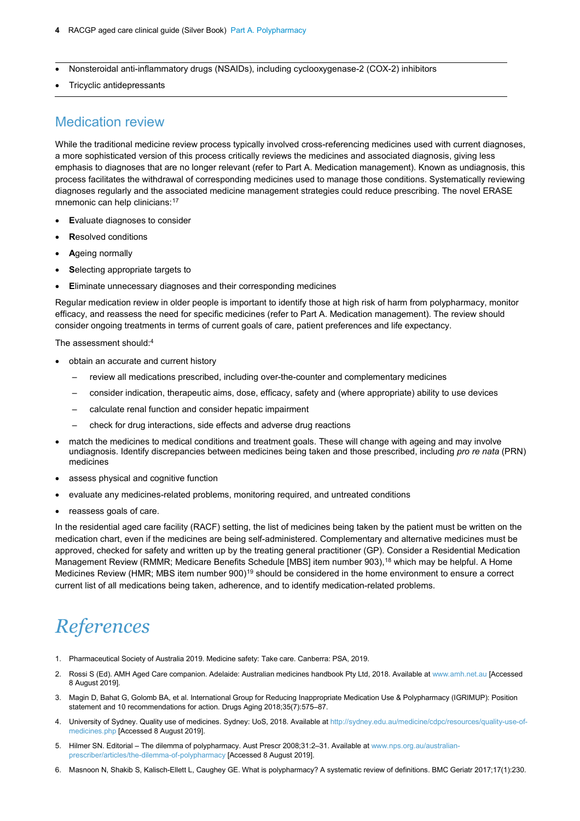- **4** RACGP aged care clinical guide (Silver Book) Part A. Polypharmacy
- Nonsteroidal anti-inflammatory drugs (NSAIDs), including cyclooxygenase-2 (COX-2) inhibitors
- Tricyclic antidepressants

#### Medication review

While the traditional medicine review process typically involved cross-referencing medicines used with current diagnoses, a more sophisticated version of this process critically reviews the medicines and associated diagnosis, giving less emphasis to diagnoses that are no longer relevant (refer to Part A. Medication management). Known as undiagnosis, this process facilitates the withdrawal of corresponding medicines used to manage those conditions. Systematically reviewing diagnoses regularly and the associated medicine management strategies could reduce prescribing. The novel ERASE mnemonic can help clinicians: [17](#page-4-10)

- **E**valuate diagnoses to consider
- **R**esolved conditions
- **A**geing normally
- **S**electing appropriate targets to
- **E**liminate unnecessary diagnoses and their corresponding medicines

Regular medication review in older people is important to identify those at high risk of harm from polypharmacy, monitor efficacy, and reassess the need for specific medicines (refer to Part A. Medication management). The review should consider ongoing treatments in terms of current goals of care, patient preferences and life expectancy.

The assessment should[:4](#page-1-3)

- obtain an accurate and current history
	- review all medications prescribed, including over-the-counter and complementary medicines
	- consider indication, therapeutic aims, dose, efficacy, safety and (where appropriate) ability to use devices
	- calculate renal function and consider hepatic impairment
	- check for drug interactions, side effects and adverse drug reactions
- match the medicines to medical conditions and treatment goals. These will change with ageing and may involve undiagnosis. Identify discrepancies between medicines being taken and those prescribed, including *pro re nata* (PRN) medicines
- assess physical and cognitive function
- evaluate any medicines-related problems, monitoring required, and untreated conditions
- reassess goals of care.

In the residential aged care facility (RACF) setting, the list of medicines being taken by the patient must be written on the medication chart, even if the medicines are being self-administered. Complementary and alternative medicines must be approved, checked for safety and written up by the treating general practitioner (GP). Consider a Residential Medication Management Review (RMMR; Medicare Benefits Schedule [MBS] item number 903), [18](#page-4-11) which may be helpful. A Home Medicines Review (HMR; MBS item number 900)<sup>[19](#page-4-12)</sup> should be considered in the home environment to ensure a correct current list of all medications being taken, adherence, and to identify medication-related problems.

#### *References*

- <span id="page-3-0"></span>1. Pharmaceutical Society of Australia 2019. Medicine safety: Take care. Canberra: PSA, 2019.
- <span id="page-3-1"></span>2. Rossi S (Ed). AMH Aged Care companion. Adelaide: Australian medicines handbook Pty Ltd, 2018. Available a[t www.amh.net.au](http://www.amh.net.au/) [Accessed 8 August 2019].
- <span id="page-3-2"></span>3. Magin D, Bahat G, Golomb BA, et al. International Group for Reducing Inappropriate Medication Use & Polypharmacy (IGRIMUP): Position statement and 10 recommendations for action. Drugs Aging 2018;35(7):575–87.
- <span id="page-3-3"></span>4. University of Sydney. Quality use of medicines. Sydney: UoS, 2018. Available at [http://sydney.edu.au/medicine/cdpc/resources/quality-use-of](http://sydney.edu.au/medicine/cdpc/resources/quality-use-of-medicines.php)[medicines.php](http://sydney.edu.au/medicine/cdpc/resources/quality-use-of-medicines.php) [Accessed 8 August 2019].
- <span id="page-3-4"></span>5. Hilmer SN. Editorial – The dilemma of polypharmacy. Aust Prescr 2008;31:2–31. Available at [www.nps.org.au/australian](http://www.nps.org.au/australian-prescriber/articles/the-dilemma-of-polypharmacy)[prescriber/articles/the-dilemma-of-polypharmacy](http://www.nps.org.au/australian-prescriber/articles/the-dilemma-of-polypharmacy) [Accessed 8 August 2019].
- <span id="page-3-5"></span>6. Masnoon N, Shakib S, Kalisch-Ellett L, Caughey GE. What is polypharmacy? A systematic review of definitions. BMC Geriatr 2017;17(1):230.